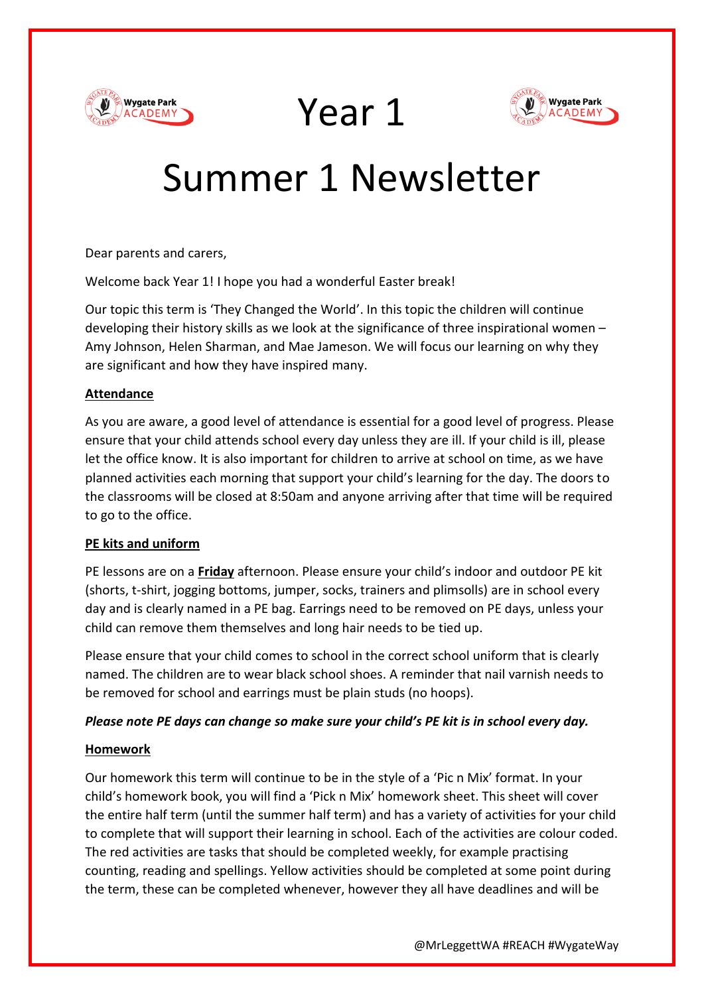





# Summer 1 Newsletter

Dear parents and carers,

Welcome back Year 1! I hope you had a wonderful Easter break!

Our topic this term is 'They Changed the World'. In this topic the children will continue developing their history skills as we look at the significance of three inspirational women – Amy Johnson, Helen Sharman, and Mae Jameson. We will focus our learning on why they are significant and how they have inspired many.

## **Attendance**

As you are aware, a good level of attendance is essential for a good level of progress. Please ensure that your child attends school every day unless they are ill. If your child is ill, please let the office know. It is also important for children to arrive at school on time, as we have planned activities each morning that support your child's learning for the day. The doors to the classrooms will be closed at 8:50am and anyone arriving after that time will be required to go to the office.

## **PE kits and uniform**

PE lessons are on a **Friday** afternoon. Please ensure your child's indoor and outdoor PE kit (shorts, t-shirt, jogging bottoms, jumper, socks, trainers and plimsolls) are in school every day and is clearly named in a PE bag. Earrings need to be removed on PE days, unless your child can remove them themselves and long hair needs to be tied up.

Please ensure that your child comes to school in the correct school uniform that is clearly named. The children are to wear black school shoes. A reminder that nail varnish needs to be removed for school and earrings must be plain studs (no hoops).

## *Please note PE days can change so make sure your child's PE kit is in school every day.*

## **Homework**

Our homework this term will continue to be in the style of a 'Pic n Mix' format. In your child's homework book, you will find a 'Pick n Mix' homework sheet. This sheet will cover the entire half term (until the summer half term) and has a variety of activities for your child to complete that will support their learning in school. Each of the activities are colour coded. The red activities are tasks that should be completed weekly, for example practising counting, reading and spellings. Yellow activities should be completed at some point during the term, these can be completed whenever, however they all have deadlines and will be